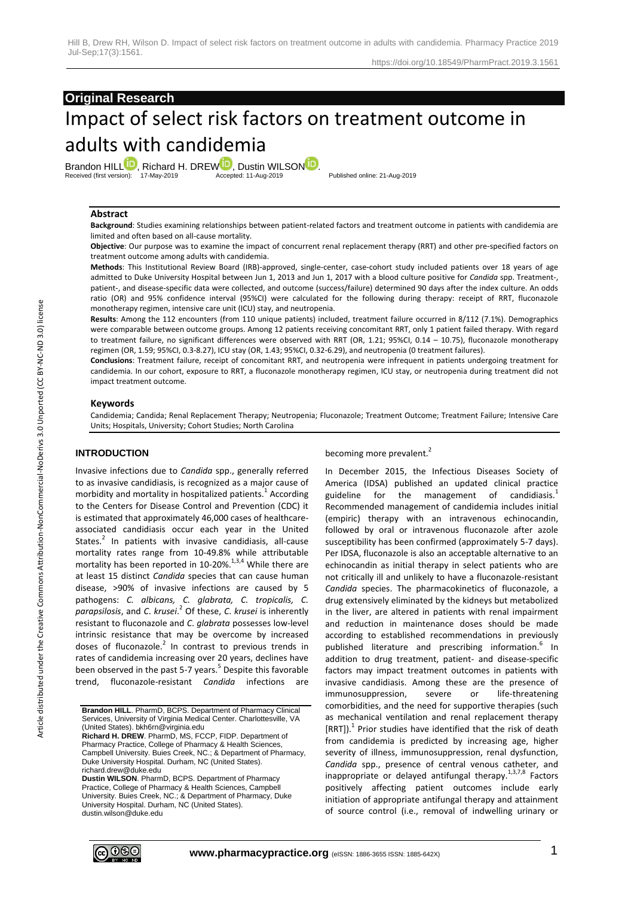## **Original Research**

# Impact of select risk factors on treatment outcome in adults with candidemia

Brandon HI[L](http://orcid.org/0000-0001-6509-9302)L<sup>ID</sup>, Richard H. DRE[W](http://orcid.org/0000-0003-0406-0804) D, Dustin WILSO[N](http://orcid.org/0000-0001-8053-8473)<sup>D</sup>.<br>Received (first version): 17-May-2019 Accepted: 11-Aug-2019 Received (first version): 17-May-2019 Accepted: 11-Aug-2019 Published online: 21-Aug-2019

#### **Abstract**

**Background**: Studies examining relationships between patient-related factors and treatment outcome in patients with candidemia are limited and often based on all-cause mortality.

**Objective**: Our purpose was to examine the impact of concurrent renal replacement therapy (RRT) and other pre-specified factors on treatment outcome among adults with candidemia.

**Methods**: This Institutional Review Board (IRB)-approved, single-center, case-cohort study included patients over 18 years of age admitted to Duke University Hospital between Jun 1, 2013 and Jun 1, 2017 with a blood culture positive for *Candida* spp. Treatment-, patient-, and disease-specific data were collected, and outcome (success/failure) determined 90 days after the index culture. An odds ratio (OR) and 95% confidence interval (95%CI) were calculated for the following during therapy: receipt of RRT, fluconazole monotherapy regimen, intensive care unit (ICU) stay, and neutropenia.

**Results**: Among the 112 encounters (from 110 unique patients) included, treatment failure occurred in 8/112 (7.1%). Demographics were comparable between outcome groups. Among 12 patients receiving concomitant RRT, only 1 patient failed therapy. With regard to treatment failure, no significant differences were observed with RRT (OR, 1.21; 95%CI, 0.14 – 10.75), fluconazole monotherapy regimen (OR, 1.59; 95%CI, 0.3-8.27), ICU stay (OR, 1.43; 95%CI, 0.32-6.29), and neutropenia (0 treatment failures).

**Conclusions**: Treatment failure, receipt of concomitant RRT, and neutropenia were infrequent in patients undergoing treatment for candidemia. In our cohort, exposure to RRT, a fluconazole monotherapy regimen, ICU stay, or neutropenia during treatment did not impact treatment outcome.

#### **Keywords**

Candidemia; Candida; Renal Replacement Therapy; Neutropenia; Fluconazole; Treatment Outcome; Treatment Failure; Intensive Care Units; Hospitals, University; Cohort Studies; North Carolina

## **INTRODUCTION**

Invasive infections due to *Candida* spp., generally referred to as invasive candidiasis, is recognized as a major cause of morbidity and mortality in hospitalized patients. $^{1}$  According to the Centers for Disease Control and Prevention (CDC) it is estimated that approximately 46,000 cases of healthcareassociated candidiasis occur each year in the United States. $2$  In patients with invasive candidiasis, all-cause mortality rates range from 10-49.8% while attributable mortality has been reported in 10-20%. $^{1,3,4}$  While there are at least 15 distinct *Candida* species that can cause human disease, >90% of invasive infections are caused by 5 pathogens: *C. albicans, C. glabrata, C. tropicalis, C. parapsilosis*, and *C*. *krusei*. 2 Of these, *C*. *krusei* is inherently resistant to fluconazole and *C*. *glabrata* possesses low-level intrinsic resistance that may be overcome by increased doses of fluconazole. $2$  In contrast to previous trends in rates of candidemia increasing over 20 years, declines have been observed in the past 5-7 years.<sup>5</sup> Despite this favorable trend, fluconazole-resistant *Candida* infections

**Richard H. DREW**. PharmD, MS, FCCP, FIDP. Department of Pharmacy Practice, College of Pharmacy & Health Sciences, Campbell University. Buies Creek, NC.; & Department of Pharmacy, Duke University Hospital. Durham, NC (United States). richard.drew@duke.edu

**Dustin WILSON**. PharmD, BCPS. Department of Pharmacy Practice, College of Pharmacy & Health Sciences, Campbell University. Buies Creek, NC.; & Department of Pharmacy, Duke University Hospital. Durham, NC (United States). dustin.wilson@duke.edu

becoming more prevalent.<sup>2</sup>

In December 2015, the Infectious Diseases Society of America (IDSA) published an updated clinical practice guideline for the management of candidiasis.<sup>1</sup> Recommended management of candidemia includes initial (empiric) therapy with an intravenous echinocandin, followed by oral or intravenous fluconazole after azole susceptibility has been confirmed (approximately 5-7 days). Per IDSA, fluconazole is also an acceptable alternative to an echinocandin as initial therapy in select patients who are not critically ill and unlikely to have a fluconazole-resistant *Candida* species. The pharmacokinetics of fluconazole, a drug extensively eliminated by the kidneys but metabolized in the liver, are altered in patients with renal impairment and reduction in maintenance doses should be made according to established recommendations in previously published literature and prescribing information.<sup>6</sup> In addition to drug treatment, patient- and disease-specific factors may impact treatment outcomes in patients with invasive candidiasis. Among these are the presence of immunosuppression, severe or life-threatening comorbidities, and the need for supportive therapies (such as mechanical ventilation and renal replacement therapy [RRT]).<sup>1</sup> Prior studies have identified that the risk of death from candidemia is predicted by increasing age, higher severity of illness, immunosuppression, renal dysfunction, *Candida* spp., presence of central venous catheter, and inappropriate or delayed antifungal therapy. $1,3,7,8$  Factors positively affecting patient outcomes include early initiation of appropriate antifungal therapy and attainment of source control (i.e., removal of indwelling urinary or



**Brandon HILL**. PharmD, BCPS. Department of Pharmacy Clinical Services, University of Virginia Medical Center. Charlottesville, VA (United States). bkh6rn@virginia.edu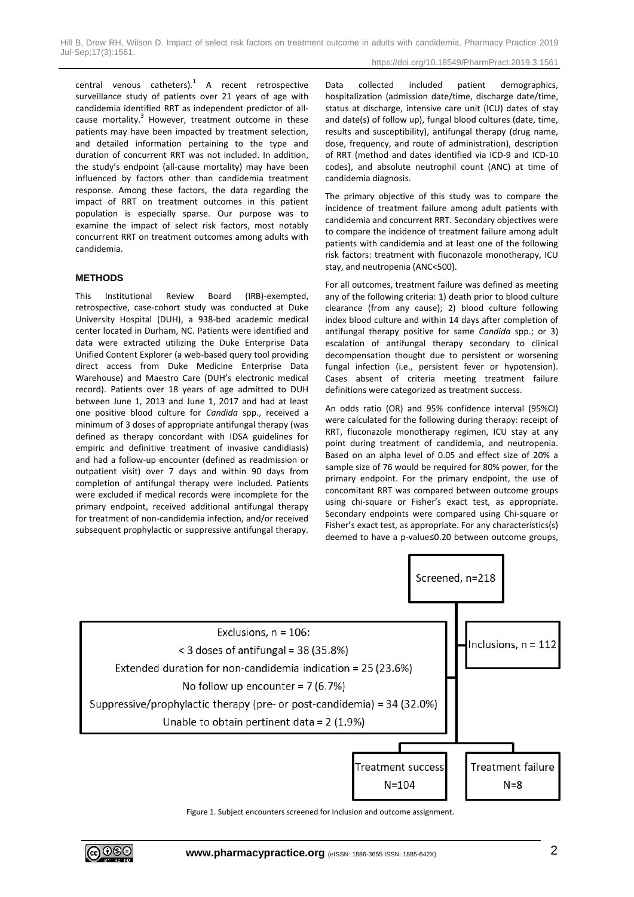central venous catheters). $<sup>1</sup>$  A recent retrospective</sup> surveillance study of patients over 21 years of age with candidemia identified RRT as independent predictor of allcause mortality.<sup>3</sup> However, treatment outcome in these patients may have been impacted by treatment selection, and detailed information pertaining to the type and duration of concurrent RRT was not included. In addition, the study's endpoint (all-cause mortality) may have been influenced by factors other than candidemia treatment response. Among these factors, the data regarding the impact of RRT on treatment outcomes in this patient population is especially sparse. Our purpose was to examine the impact of select risk factors, most notably concurrent RRT on treatment outcomes among adults with candidemia.

#### **METHODS**

This Institutional Review Board (IRB)-exempted, retrospective, case-cohort study was conducted at Duke University Hospital (DUH), a 938-bed academic medical center located in Durham, NC. Patients were identified and data were extracted utilizing the Duke Enterprise Data Unified Content Explorer (a web-based query tool providing direct access from Duke Medicine Enterprise Data Warehouse) and Maestro Care (DUH's electronic medical record). Patients over 18 years of age admitted to DUH between June 1, 2013 and June 1, 2017 and had at least one positive blood culture for *Candida* spp., received a minimum of 3 doses of appropriate antifungal therapy (was defined as therapy concordant with IDSA guidelines for empiric and definitive treatment of invasive candidiasis) and had a follow-up encounter (defined as readmission or outpatient visit) over 7 days and within 90 days from completion of antifungal therapy were included. Patients were excluded if medical records were incomplete for the primary endpoint, received additional antifungal therapy for treatment of non-candidemia infection, and/or received subsequent prophylactic or suppressive antifungal therapy. Data collected included patient demographics, hospitalization (admission date/time, discharge date/time, status at discharge, intensive care unit (ICU) dates of stay and date(s) of follow up), fungal blood cultures (date, time, results and susceptibility), antifungal therapy (drug name, dose, frequency, and route of administration), description of RRT (method and dates identified via ICD-9 and ICD-10 codes), and absolute neutrophil count (ANC) at time of candidemia diagnosis.

The primary objective of this study was to compare the incidence of treatment failure among adult patients with candidemia and concurrent RRT. Secondary objectives were to compare the incidence of treatment failure among adult patients with candidemia and at least one of the following risk factors: treatment with fluconazole monotherapy, ICU stay, and neutropenia (ANC<500).

For all outcomes, treatment failure was defined as meeting any of the following criteria: 1) death prior to blood culture clearance (from any cause); 2) blood culture following index blood culture and within 14 days after completion of antifungal therapy positive for same *Candida* spp.; or 3) escalation of antifungal therapy secondary to clinical decompensation thought due to persistent or worsening fungal infection (i.e., persistent fever or hypotension). Cases absent of criteria meeting treatment failure definitions were categorized as treatment success.

An odds ratio (OR) and 95% confidence interval (95%CI) were calculated for the following during therapy: receipt of RRT, fluconazole monotherapy regimen, ICU stay at any point during treatment of candidemia, and neutropenia. Based on an alpha level of 0.05 and effect size of 20% a sample size of 76 would be required for 80% power, for the primary endpoint. For the primary endpoint, the use of concomitant RRT was compared between outcome groups using chi-square or Fisher's exact test, as appropriate. Secondary endpoints were compared using Chi-square or Fisher's exact test, as appropriate. For any characteristics(s) deemed to have a p-value≤0.20 between outcome groups,



Figure 1. Subject encounters screened for inclusion and outcome assignment.

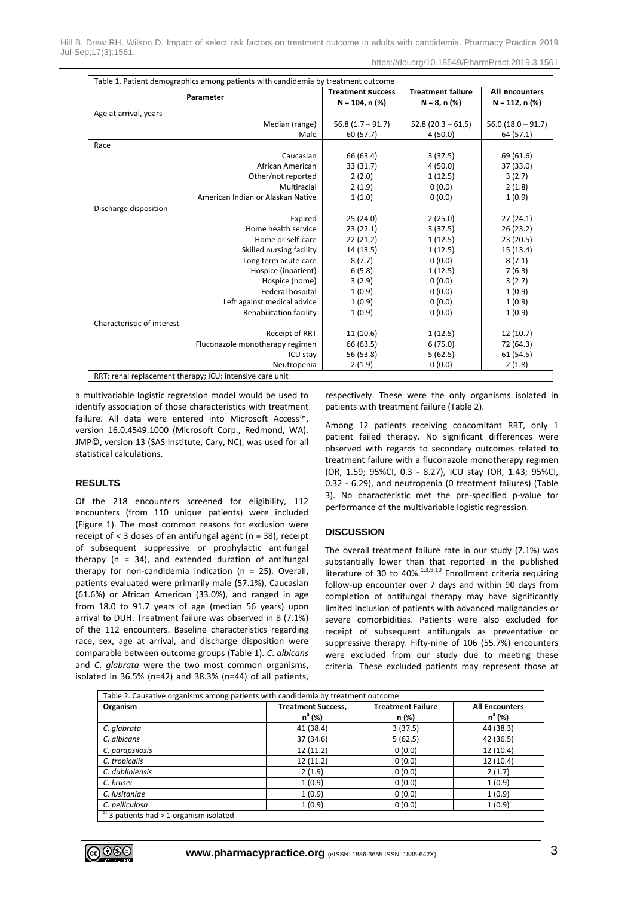Hill B, Drew RH, Wilson D. Impact of select risk factors on treatment outcome in adults with candidemia. Pharmacy Practice 2019 Jul-Sep;17(3):1561.

| Table 1. Patient demographics among patients with candidemia by treatment outcome |                          |                          |                      |  |
|-----------------------------------------------------------------------------------|--------------------------|--------------------------|----------------------|--|
| Parameter                                                                         | <b>Treatment Success</b> | <b>Treatment failure</b> | All encounters       |  |
|                                                                                   | $N = 104$ , n $(\%)$     | $N = 8, n$ (%)           | $N = 112$ , n $(\%)$ |  |
| Age at arrival, years                                                             |                          |                          |                      |  |
| Median (range)                                                                    | $56.8(1.7 - 91.7)$       | $52.8(20.3 - 61.5)$      | $56.0(18.0 - 91.7)$  |  |
| Male                                                                              | 60 (57.7)                | 4(50.0)                  | 64 (57.1)            |  |
| Race                                                                              |                          |                          |                      |  |
| Caucasian                                                                         | 66 (63.4)                | 3(37.5)                  | 69 (61.6)            |  |
| African American                                                                  | 33 (31.7)                | 4(50.0)                  | 37 (33.0)            |  |
| Other/not reported                                                                | 2(2.0)                   | 1(12.5)                  | 3(2.7)               |  |
| Multiracial                                                                       | 2(1.9)                   | 0(0.0)                   | 2(1.8)               |  |
| American Indian or Alaskan Native                                                 | 1(1.0)                   | 0(0.0)                   | 1(0.9)               |  |
| Discharge disposition                                                             |                          |                          |                      |  |
| Expired                                                                           | 25 (24.0)                | 2(25.0)                  | 27(24.1)             |  |
| Home health service                                                               | 23(22.1)                 | 3(37.5)                  | 26(23.2)             |  |
| Home or self-care                                                                 | 22(21.2)                 | 1(12.5)                  | 23 (20.5)            |  |
| Skilled nursing facility                                                          | 14 (13.5)                | 1(12.5)                  | 15 (13.4)            |  |
| Long term acute care                                                              | 8(7.7)                   | 0(0.0)                   | 8(7.1)               |  |
| Hospice (inpatient)                                                               | 6(5.8)                   | 1(12.5)                  | 7(6.3)               |  |
| Hospice (home)                                                                    | 3(2.9)                   | 0(0.0)                   | 3(2.7)               |  |
| Federal hospital                                                                  | 1(0.9)                   | 0(0.0)                   | 1(0.9)               |  |
| Left against medical advice                                                       | 1(0.9)                   | 0(0.0)                   | 1(0.9)               |  |
| Rehabilitation facility                                                           | 1(0.9)                   | 0(0.0)                   | 1(0.9)               |  |
| Characteristic of interest                                                        |                          |                          |                      |  |
| Receipt of RRT                                                                    | 11(10.6)                 | 1(12.5)                  | 12 (10.7)            |  |
| Fluconazole monotherapy regimen                                                   | 66 (63.5)                | 6(75.0)                  | 72 (64.3)            |  |
| ICU stay                                                                          | 56 (53.8)                | 5(62.5)                  | 61 (54.5)            |  |
| Neutropenia                                                                       | 2(1.9)                   | 0(0.0)                   | 2(1.8)               |  |
| RRT: renal replacement therapy; ICU: intensive care unit                          |                          |                          |                      |  |

a multivariable logistic regression model would be used to identify association of those characteristics with treatment failure. All data were entered into Microsoft Access™, version 16.0.4549.1000 (Microsoft Corp., Redmond, WA). JMP©, version 13 (SAS Institute, Cary, NC), was used for all statistical calculations.

## **RESULTS**

Of the 218 encounters screened for eligibility, 112 encounters (from 110 unique patients) were included (Figure 1). The most common reasons for exclusion were receipt of < 3 doses of an antifungal agent (n = 38), receipt of subsequent suppressive or prophylactic antifungal therapy ( $n = 34$ ), and extended duration of antifungal therapy for non-candidemia indication (n = 25). Overall, patients evaluated were primarily male (57.1%), Caucasian (61.6%) or African American (33.0%), and ranged in age from 18.0 to 91.7 years of age (median 56 years) upon arrival to DUH. Treatment failure was observed in 8 (7.1%) of the 112 encounters. Baseline characteristics regarding race, sex, age at arrival, and discharge disposition were comparable between outcome groups (Table 1). *C*. *albicans* and *C*. *glabrata* were the two most common organisms, isolated in 36.5% (n=42) and 38.3% (n=44) of all patients, respectively. These were the only organisms isolated in patients with treatment failure (Table 2).

Among 12 patients receiving concomitant RRT, only 1 patient failed therapy. No significant differences were observed with regards to secondary outcomes related to treatment failure with a fluconazole monotherapy regimen (OR, 1.59; 95%CI, 0.3 - 8.27), ICU stay (OR, 1.43; 95%CI, 0.32 - 6.29), and neutropenia (0 treatment failures) (Table 3). No characteristic met the pre-specified p-value for performance of the multivariable logistic regression.

#### **DISCUSSION**

The overall treatment failure rate in our study (7.1%) was substantially lower than that reported in the published literature of 30 to 40%.<sup>1,3,9,10</sup> Enrollment criteria requiring follow-up encounter over 7 days and within 90 days from completion of antifungal therapy may have significantly limited inclusion of patients with advanced malignancies or severe comorbidities. Patients were also excluded for receipt of subsequent antifungals as preventative or suppressive therapy. Fifty-nine of 106 (55.7%) encounters were excluded from our study due to meeting these criteria. These excluded patients may represent those at

| Table 2. Causative organisms among patients with candidemia by treatment outcome |                                        |                                   |                                    |  |
|----------------------------------------------------------------------------------|----------------------------------------|-----------------------------------|------------------------------------|--|
| Organism                                                                         | <b>Treatment Success,</b><br>$n^a$ (%) | <b>Treatment Failure</b><br>n (%) | <b>All Encounters</b><br>$n^a$ (%) |  |
| C. glabrata                                                                      | 41 (38.4)                              | 3(37.5)                           | 44 (38.3)                          |  |
| C. albicans                                                                      | 37 (34.6)                              | 5(62.5)                           | 42 (36.5)                          |  |
| C. parapsilosis                                                                  | 12(11.2)                               | 0(0.0)                            | 12(10.4)                           |  |
| C. tropicalis                                                                    | 12(11.2)                               | 0(0.0)                            | 12(10.4)                           |  |
| C. dubliniensis                                                                  | 2(1.9)                                 | 0(0.0)                            | 2(1.7)                             |  |
| C. krusei                                                                        | 1(0.9)                                 | 0(0.0)                            | 1(0.9)                             |  |
| C. lusitaniae                                                                    | 1(0.9)                                 | 0(0.0)                            | 1(0.9)                             |  |
| C. pelliculosa                                                                   | 1(0.9)                                 | 0(0.0)                            | 1(0.9)                             |  |
| $a: 3$ patients had > 1 organism isolated                                        |                                        |                                   |                                    |  |

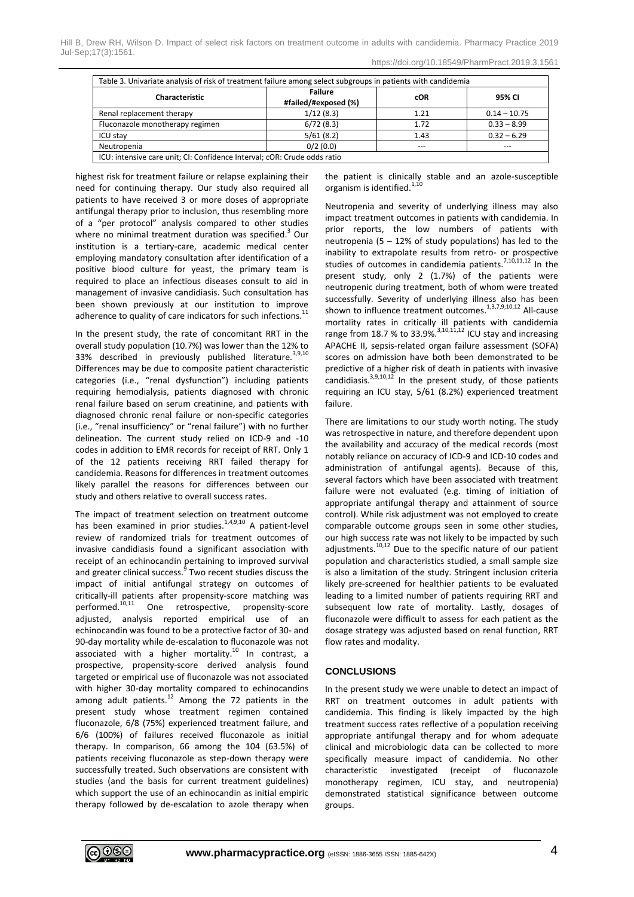|  |  | https://doi.org/10.18549/PharmPract.2019.3.1561 |
|--|--|-------------------------------------------------|
|  |  |                                                 |

| <b>Characteristic</b>           | <b>Failure</b><br>#failed/#exposed (%) | cOR  | 95% CI         |
|---------------------------------|----------------------------------------|------|----------------|
| Renal replacement therapy       | 1/12(8.3)                              | 1.21 | $0.14 - 10.75$ |
| Fluconazole monotherapy regimen | 6/72(8.3)                              | 1.72 | $0.33 - 8.99$  |
| <b>ICU stav</b>                 | 5/61(8.2)                              | 1.43 | $0.32 - 6.29$  |
| Neutropenia                     | 0/2(0.0)                               | ---  |                |

highest risk for treatment failure or relapse explaining their need for continuing therapy. Our study also required all patients to have received 3 or more doses of appropriate antifungal therapy prior to inclusion, thus resembling more of a "per protocol" analysis compared to other studies where no minimal treatment duration was specified. $3$  Our institution is a tertiary-care, academic medical center employing mandatory consultation after identification of a positive blood culture for yeast, the primary team is required to place an infectious diseases consult to aid in management of invasive candidiasis. Such consultation has been shown previously at our institution to improve adherence to quality of care indicators for such infections.<sup>11</sup>

In the present study, the rate of concomitant RRT in the overall study population (10.7%) was lower than the 12% to 33% described in previously published literature.<sup>3,9,10</sup> Differences may be due to composite patient characteristic categories (i.e., "renal dysfunction") including patients requiring hemodialysis, patients diagnosed with chronic renal failure based on serum creatinine, and patients with diagnosed chronic renal failure or non-specific categories (i.e., "renal insufficiency" or "renal failure") with no further delineation. The current study relied on ICD-9 and -10 codes in addition to EMR records for receipt of RRT. Only 1 of the 12 patients receiving RRT failed therapy for candidemia. Reasons for differences in treatment outcomes likely parallel the reasons for differences between our study and others relative to overall success rates.

The impact of treatment selection on treatment outcome has been examined in prior studies.<sup>1,4,9,10</sup> A patient-level review of randomized trials for treatment outcomes of invasive candidiasis found a significant association with receipt of an echinocandin pertaining to improved survival and greater clinical success.<sup>9</sup> Two recent studies discuss the impact of initial antifungal strategy on outcomes of critically-ill patients after propensity-score matching was performed.10,11 One retrospective, propensity-score adjusted, analysis reported empirical use of an echinocandin was found to be a protective factor of 30- and 90-day mortality while de-escalation to fluconazole was not associated with a higher mortality.<sup>10</sup> In contrast, a prospective, propensity-score derived analysis found targeted or empirical use of fluconazole was not associated with higher 30-day mortality compared to echinocandins among adult patients.<sup>12</sup> Among the 72 patients in the present study whose treatment regimen contained fluconazole, 6/8 (75%) experienced treatment failure, and 6/6 (100%) of failures received fluconazole as initial therapy. In comparison, 66 among the 104 (63.5%) of patients receiving fluconazole as step-down therapy were successfully treated. Such observations are consistent with studies (and the basis for current treatment guidelines) which support the use of an echinocandin as initial empiric therapy followed by de-escalation to azole therapy when the patient is clinically stable and an azole-susceptible organism is identified.<sup>1,10</sup>

Neutropenia and severity of underlying illness may also impact treatment outcomes in patients with candidemia. In prior reports, the low numbers of patients with neutropenia (5  $-$  12% of study populations) has led to the inability to extrapolate results from retro- or prospective studies of outcomes in candidemia patients.<sup>7,10,11,12</sup> In the present study, only 2 (1.7%) of the patients were neutropenic during treatment, both of whom were treated successfully. Severity of underlying illness also has been shown to influence treatment outcomes.<sup>1,3,7,9,10,12</sup> All-cause mortality rates in critically ill patients with candidemia range from 18.7 % to 33.9%.<sup>3,10,11,12</sup> ICU stay and increasing APACHE II, sepsis-related organ failure assessment (SOFA) scores on admission have both been demonstrated to be predictive of a higher risk of death in patients with invasive candidiasis. $3,9,10,12$  In the present study, of those patients requiring an ICU stay, 5/61 (8.2%) experienced treatment failure.

There are limitations to our study worth noting. The study was retrospective in nature, and therefore dependent upon the availability and accuracy of the medical records (most notably reliance on accuracy of ICD-9 and ICD-10 codes and administration of antifungal agents). Because of this, several factors which have been associated with treatment failure were not evaluated (e.g. timing of initiation of appropriate antifungal therapy and attainment of source control). While risk adjustment was not employed to create comparable outcome groups seen in some other studies, our high success rate was not likely to be impacted by such adjustments. $10,12$  Due to the specific nature of our patient population and characteristics studied, a small sample size is also a limitation of the study. Stringent inclusion criteria likely pre-screened for healthier patients to be evaluated leading to a limited number of patients requiring RRT and subsequent low rate of mortality. Lastly, dosages of fluconazole were difficult to assess for each patient as the dosage strategy was adjusted based on renal function, RRT flow rates and modality.

## **CONCLUSIONS**

In the present study we were unable to detect an impact of RRT on treatment outcomes in adult patients with candidemia. This finding is likely impacted by the high treatment success rates reflective of a population receiving appropriate antifungal therapy and for whom adequate clinical and microbiologic data can be collected to more specifically measure impact of candidemia. No other characteristic investigated (receipt of fluconazole monotherapy regimen, ICU stay, and neutropenia) demonstrated statistical significance between outcome groups.